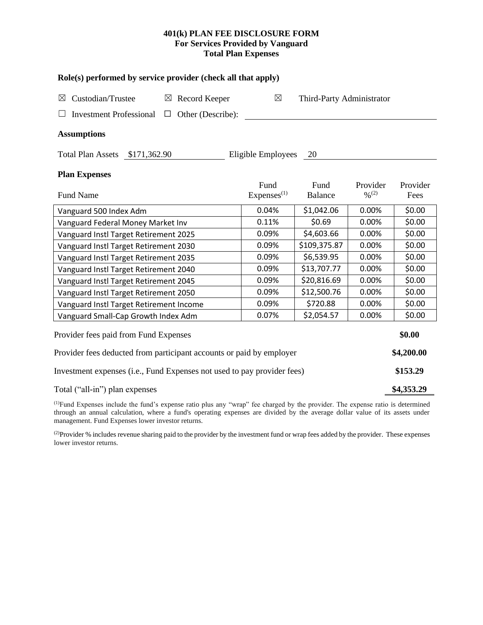## **401(k) PLAN FEE DISCLOSURE FORM For Services Provided by Vanguard Total Plan Expenses**

| Role(s) performed by service provider (check all that apply)            |                                |                           |                    |                  |  |  |  |  |  |
|-------------------------------------------------------------------------|--------------------------------|---------------------------|--------------------|------------------|--|--|--|--|--|
| Custodian/Trustee<br>$\boxtimes$ Record Keeper<br>$\boxtimes$           | ⊠                              | Third-Party Administrator |                    |                  |  |  |  |  |  |
| <b>Investment Professional</b><br>Other (Describe):<br>$\Box$           |                                |                           |                    |                  |  |  |  |  |  |
| <b>Assumptions</b>                                                      |                                |                           |                    |                  |  |  |  |  |  |
| Total Plan Assets \$171,362.90<br>Eligible Employees<br>20              |                                |                           |                    |                  |  |  |  |  |  |
| <b>Plan Expenses</b>                                                    |                                |                           |                    |                  |  |  |  |  |  |
| <b>Fund Name</b>                                                        | Fund<br>Express <sup>(1)</sup> | Fund<br><b>Balance</b>    | Provider<br>9/6(2) | Provider<br>Fees |  |  |  |  |  |
| Vanguard 500 Index Adm                                                  | 0.04%                          | \$1,042.06                | 0.00%              | \$0.00           |  |  |  |  |  |
| Vanguard Federal Money Market Inv                                       | 0.11%                          | \$0.69                    | 0.00%              | \$0.00           |  |  |  |  |  |
| Vanguard Instl Target Retirement 2025                                   | 0.09%                          | \$4,603.66                | 0.00%              | \$0.00           |  |  |  |  |  |
| Vanguard Instl Target Retirement 2030                                   | 0.09%                          | \$109,375.87              | 0.00%              | \$0.00           |  |  |  |  |  |
| Vanguard Instl Target Retirement 2035                                   | 0.09%                          | \$6,539.95                | 0.00%              | \$0.00           |  |  |  |  |  |
| Vanguard Instl Target Retirement 2040                                   | 0.09%                          | \$13,707.77               | 0.00%              | \$0.00           |  |  |  |  |  |
| Vanguard Instl Target Retirement 2045                                   | 0.09%                          | \$20,816.69               | 0.00%              | \$0.00           |  |  |  |  |  |
| Vanguard Instl Target Retirement 2050                                   | 0.09%                          | \$12,500.76               | 0.00%              | \$0.00           |  |  |  |  |  |
| Vanguard Instl Target Retirement Income                                 | 0.09%                          | \$720.88                  | 0.00%              | \$0.00           |  |  |  |  |  |
| Vanguard Small-Cap Growth Index Adm                                     | 0.07%                          | \$2,054.57                | 0.00%              | \$0.00           |  |  |  |  |  |
| Provider fees paid from Fund Expenses                                   |                                |                           |                    | \$0.00           |  |  |  |  |  |
| Provider fees deducted from participant accounts or paid by employer    |                                |                           |                    |                  |  |  |  |  |  |
| Investment expenses (i.e., Fund Expenses not used to pay provider fees) |                                |                           |                    |                  |  |  |  |  |  |
| Total ("all-in") plan expenses                                          |                                |                           |                    |                  |  |  |  |  |  |

(1)Fund Expenses include the fund's expense ratio plus any "wrap" fee charged by the provider. The expense ratio is determined through an annual calculation, where a fund's operating expenses are divided by the average dollar value of its assets under management. Fund Expenses lower investor returns.

<sup>(2)</sup>Provider % includes revenue sharing paid to the provider by the investment fund or wrap fees added by the provider. These expenses lower investor returns.